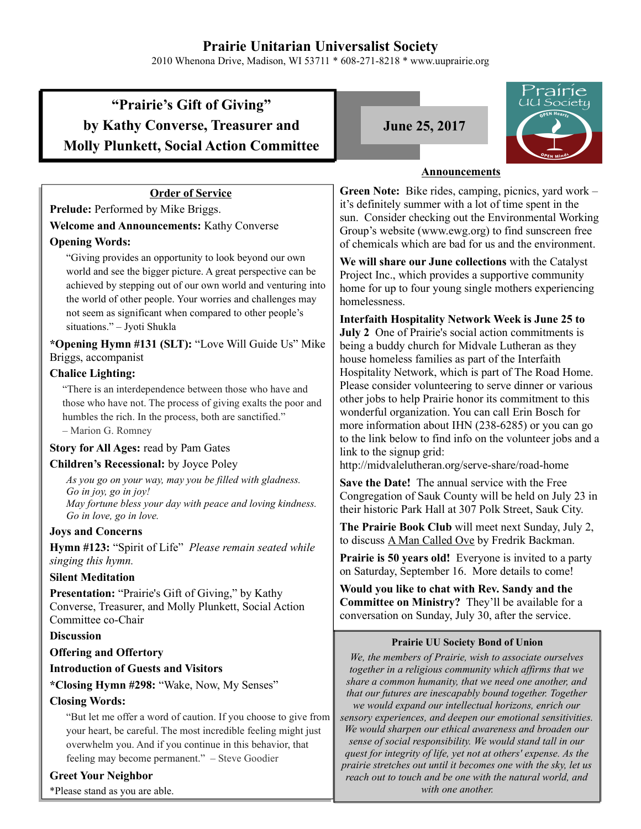# **Prairie Unitarian Universalist Society**

2010 Whenona Drive, Madison, WI 53711 \* 608-271-8218 \* www.uuprairie.org

# **"Prairie's Gift of Giving" by Kathy Converse, Treasurer and Molly Plunkett, Social Action Committee**

# **June 25, 2017**



# **Announcements**

**Green Note:** Bike rides, camping, picnics, yard work – it's definitely summer with a lot of time spent in the sun. Consider checking out the Environmental Working Group's website (www.ewg.org) to find sunscreen free of chemicals which are bad for us and the environment.

**We will share our June collections** with the Catalyst Project Inc., which provides a supportive community home for up to four young single mothers experiencing homelessness.

**Interfaith Hospitality Network Week is June 25 to July 2** One of Prairie's social action commitments is being a buddy church for Midvale Lutheran as they house homeless families as part of the Interfaith Hospitality Network, which is part of The Road Home. Please consider volunteering to serve dinner or various other jobs to help Prairie honor its commitment to this wonderful organization. You can call Erin Bosch for more information about IHN (238-6285) or you can go to the link below to find info on the volunteer jobs and a link to the signup grid:

http://midvalelutheran.org/serve-share/road-home

**Save the Date!** The annual service with the Free Congregation of Sauk County will be held on July 23 in their historic Park Hall at 307 Polk Street, Sauk City.

**The Prairie Book Club** will meet next Sunday, July 2, to discuss A Man Called Ove by Fredrik Backman.

**Prairie is 50 years old!** Everyone is invited to a party on Saturday, September 16. More details to come!

**Would you like to chat with Rev. Sandy and the Committee on Ministry?** They'll be available for a conversation on Sunday, July 30, after the service.

#### **Prairie UU Society Bond of Union**

*We, the members of Prairie, wish to associate ourselves together in a religious community which affirms that we share a common humanity, that we need one another, and that our futures are inescapably bound together. Together we would expand our intellectual horizons, enrich our sensory experiences, and deepen our emotional sensitivities. We would sharpen our ethical awareness and broaden our sense of social responsibility. We would stand tall in our quest for integrity of life, yet not at others' expense. As the prairie stretches out until it becomes one with the sky, let us reach out to touch and be one with the natural world, and with one another.* 

# **Order of Service**

**Prelude:** Performed by Mike Briggs.

**Welcome and Announcements:** Kathy Converse

# **Opening Words:**

"Giving provides an opportunity to look beyond our own world and see the bigger picture. A great perspective can be achieved by stepping out of our own world and venturing into the world of other people. Your worries and challenges may not seem as significant when compared to other people's situations." – Jyoti Shukla

**\*Opening Hymn #131 (SLT):** "Love Will Guide Us" Mike Briggs, accompanist

### **Chalice Lighting:**

"There is an interdependence between those who have and those who have not. The process of giving exalts the poor and humbles the rich. In the process, both are sanctified." – Marion G. Romney

# **Story for All Ages:** read by Pam Gates

# **Children's Recessional:** by Joyce Poley

*As you go on your way, may you be filled with gladness. Go in joy, go in joy! May fortune bless your day with peace and loving kindness. Go in love, go in love.*

# **Joys and Concerns**

**Hymn #123:** "Spirit of Life" *Please remain seated while singing this hymn.* 

#### **Silent Meditation**

**Presentation:** "Prairie's Gift of Giving," by Kathy Converse, Treasurer, and Molly Plunkett, Social Action Committee co-Chair

# **Discussion**

# **Offering and Offertory**

#### **Introduction of Guests and Visitors**

**\*Closing Hymn #298:** "Wake, Now, My Senses"

# **Closing Words:**

"But let me offer a word of caution. If you choose to give from your heart, be careful. The most incredible feeling might just overwhelm you. And if you continue in this behavior, that feeling may become permanent." – Steve Goodier

#### **Greet Your Neighbor**

\*Please stand as you are able.